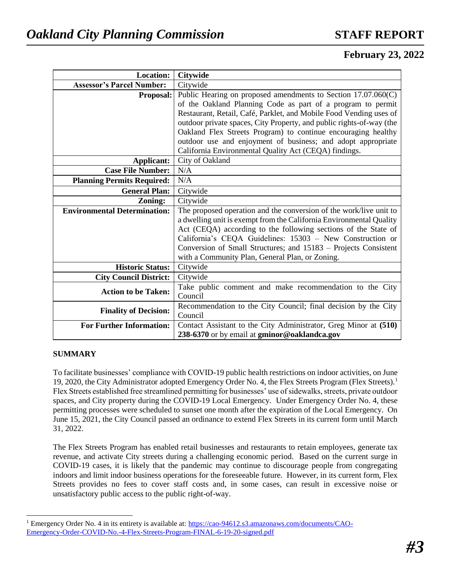# **February 23, 2022**

| <b>Location:</b>                    | <b>Citywide</b>                                                      |  |  |
|-------------------------------------|----------------------------------------------------------------------|--|--|
| <b>Assessor's Parcel Number:</b>    | Citywide                                                             |  |  |
| <b>Proposal:</b>                    | Public Hearing on proposed amendments to Section 17.07.060(C)        |  |  |
|                                     | of the Oakland Planning Code as part of a program to permit          |  |  |
|                                     | Restaurant, Retail, Café, Parklet, and Mobile Food Vending uses of   |  |  |
|                                     | outdoor private spaces, City Property, and public rights-of-way (the |  |  |
|                                     | Oakland Flex Streets Program) to continue encouraging healthy        |  |  |
|                                     | outdoor use and enjoyment of business; and adopt appropriate         |  |  |
|                                     | California Environmental Quality Act (CEQA) findings.                |  |  |
| Applicant:                          | City of Oakland                                                      |  |  |
| <b>Case File Number:</b>            | N/A                                                                  |  |  |
| <b>Planning Permits Required:</b>   | N/A                                                                  |  |  |
| <b>General Plan:</b>                | Citywide                                                             |  |  |
| Zoning:                             | Citywide                                                             |  |  |
| <b>Environmental Determination:</b> | The proposed operation and the conversion of the work/live unit to   |  |  |
|                                     | a dwelling unit is exempt from the California Environmental Quality  |  |  |
|                                     | Act (CEQA) according to the following sections of the State of       |  |  |
|                                     | California's CEQA Guidelines: 15303 - New Construction or            |  |  |
|                                     | Conversion of Small Structures; and 15183 – Projects Consistent      |  |  |
|                                     | with a Community Plan, General Plan, or Zoning.                      |  |  |
| <b>Historic Status:</b>             | Citywide                                                             |  |  |
| <b>City Council District:</b>       | Citywide                                                             |  |  |
| <b>Action to be Taken:</b>          | Take public comment and make recommendation to the City              |  |  |
|                                     | Council                                                              |  |  |
| <b>Finality of Decision:</b>        | Recommendation to the City Council; final decision by the City       |  |  |
|                                     | Council                                                              |  |  |
| <b>For Further Information:</b>     | Contact Assistant to the City Administrator, Greg Minor at (510)     |  |  |
|                                     | 238-6370 or by email at gminor@oaklandca.gov                         |  |  |

### **SUMMARY**

l

To facilitate businesses' compliance with COVID-19 public health restrictions on indoor activities, on June 19, 2020, the City Administrator adopted Emergency Order No. 4, the Flex Streets Program (Flex Streets).<sup>1</sup> Flex Streets established free streamlined permitting for businesses' use of sidewalks, streets, private outdoor spaces, and City property during the COVID-19 Local Emergency. Under Emergency Order No. 4, these permitting processes were scheduled to sunset one month after the expiration of the Local Emergency. On June 15, 2021, the City Council passed an ordinance to extend Flex Streets in its current form until March 31, 2022.

The Flex Streets Program has enabled retail businesses and restaurants to retain employees, generate tax revenue, and activate City streets during a challenging economic period. Based on the current surge in COVID-19 cases, it is likely that the pandemic may continue to discourage people from congregating indoors and limit indoor business operations for the foreseeable future. However, in its current form, Flex Streets provides no fees to cover staff costs and, in some cases, can result in excessive noise or unsatisfactory public access to the public right-of-way.

<sup>&</sup>lt;sup>1</sup> Emergency Order No. 4 in its entirety is available at: [https://cao-94612.s3.amazonaws.com/documents/CAO-](https://cao-94612.s3.amazonaws.com/documents/CAO-Emergency-Order-COVID-No.-4-Flex-Streets-Program-FINAL-6-19-20-signed.pdf)[Emergency-Order-COVID-No.-4-Flex-Streets-Program-FINAL-6-19-20-signed.pdf](https://cao-94612.s3.amazonaws.com/documents/CAO-Emergency-Order-COVID-No.-4-Flex-Streets-Program-FINAL-6-19-20-signed.pdf)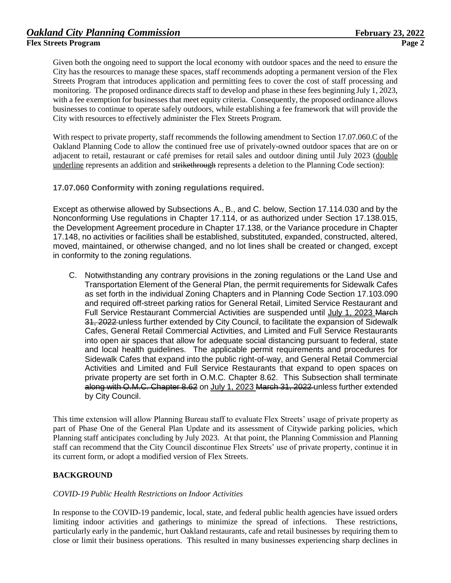Given both the ongoing need to support the local economy with outdoor spaces and the need to ensure the City has the resources to manage these spaces, staff recommends adopting a permanent version of the Flex Streets Program that introduces application and permitting fees to cover the cost of staff processing and monitoring. The proposed ordinance directs staff to develop and phase in these fees beginning July 1, 2023, with a fee exemption for businesses that meet equity criteria. Consequently, the proposed ordinance allows businesses to continue to operate safely outdoors, while establishing a fee framework that will provide the City with resources to effectively administer the Flex Streets Program.

With respect to private property, staff recommends the following amendment to Section 17.07.060.C of the Oakland Planning Code to allow the continued free use of privately-owned outdoor spaces that are on or adjacent to retail, restaurant or café premises for retail sales and outdoor dining until July 2023 (double underline represents an addition and strikethrough represents a deletion to the Planning Code section):

### **17.07.060 Conformity with zoning regulations required.**

Except as otherwise allowed by Subsections A., B., and C. below, Section 17.114.030 and by the Nonconforming Use regulations in Chapter 17.114, or as authorized under Section 17.138.015, the Development Agreement procedure in Chapter 17.138, or the Variance procedure in Chapter 17.148, no activities or facilities shall be established, substituted, expanded, constructed, altered, moved, maintained, or otherwise changed, and no lot lines shall be created or changed, except in conformity to the zoning regulations.

C. Notwithstanding any contrary provisions in the zoning regulations or the Land Use and Transportation Element of the General Plan, the permit requirements for Sidewalk Cafes as set forth in the individual Zoning Chapters and in Planning Code Section 17.103.090 and required off-street parking ratios for General Retail, Limited Service Restaurant and Full Service Restaurant Commercial Activities are suspended until July 1, 2023 March 31, 2022 unless further extended by City Council, to facilitate the expansion of Sidewalk Cafes, General Retail Commercial Activities, and Limited and Full Service Restaurants into open air spaces that allow for adequate social distancing pursuant to federal, state and local health guidelines. The applicable permit requirements and procedures for Sidewalk Cafes that expand into the public right-of-way, and General Retail Commercial Activities and Limited and Full Service Restaurants that expand to open spaces on private property are set forth in O.M.C. Chapter 8.62. This Subsection shall terminate along with O.M.C. Chapter 8.62 on July 1, 2023 March 31, 2022 unless further extended by City Council.

This time extension will allow Planning Bureau staff to evaluate Flex Streets' usage of private property as part of Phase One of the General Plan Update and its assessment of Citywide parking policies, which Planning staff anticipates concluding by July 2023. At that point, the Planning Commission and Planning staff can recommend that the City Council discontinue Flex Streets' use of private property, continue it in its current form, or adopt a modified version of Flex Streets.

### **BACKGROUND**

### *COVID-19 Public Health Restrictions on Indoor Activities*

In response to the COVID-19 pandemic, local, state, and federal public health agencies have issued orders limiting indoor activities and gatherings to minimize the spread of infections. These restrictions, particularly early in the pandemic, hurt Oakland restaurants, cafe and retail businesses by requiring them to close or limit their business operations. This resulted in many businesses experiencing sharp declines in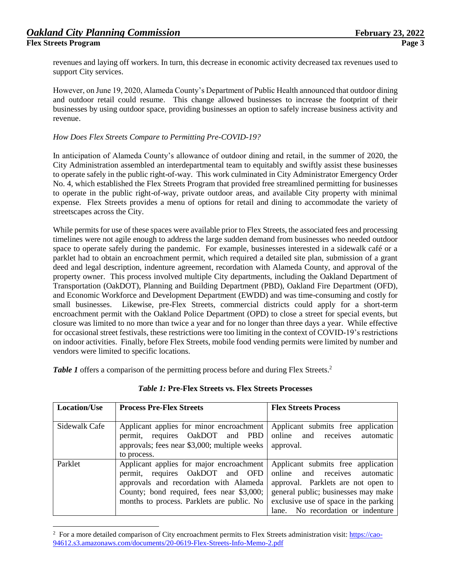l

revenues and laying off workers. In turn, this decrease in economic activity decreased tax revenues used to support City services.

However, on June 19, 2020, Alameda County's Department of Public Health announced that outdoor dining and outdoor retail could resume. This change allowed businesses to increase the footprint of their businesses by using outdoor space, providing businesses an option to safely increase business activity and revenue.

### *How Does Flex Streets Compare to Permitting Pre-COVID-19?*

In anticipation of Alameda County's allowance of outdoor dining and retail, in the summer of 2020, the City Administration assembled an interdepartmental team to equitably and swiftly assist these businesses to operate safely in the public right-of-way. This work culminated in City Administrator Emergency Order No. 4, which established the Flex Streets Program that provided free streamlined permitting for businesses to operate in the public right-of-way, private outdoor areas, and available City property with minimal expense. Flex Streets provides a menu of options for retail and dining to accommodate the variety of streetscapes across the City.

While permits for use of these spaces were available prior to Flex Streets, the associated fees and processing timelines were not agile enough to address the large sudden demand from businesses who needed outdoor space to operate safely during the pandemic. For example, businesses interested in a sidewalk café or a parklet had to obtain an encroachment permit, which required a detailed site plan, submission of a grant deed and legal description, indenture agreement, recordation with Alameda County, and approval of the property owner. This process involved multiple City departments, including the Oakland Department of Transportation (OakDOT), Planning and Building Department (PBD), Oakland Fire Department (OFD), and Economic Workforce and Development Department (EWDD) and was time-consuming and costly for small businesses. Likewise, pre-Flex Streets, commercial districts could apply for a short-term encroachment permit with the Oakland Police Department (OPD) to close a street for special events, but closure was limited to no more than twice a year and for no longer than three days a year. While effective for occasional street festivals, these restrictions were too limiting in the context of COVID-19's restrictions on indoor activities. Finally, before Flex Streets, mobile food vending permits were limited by number and vendors were limited to specific locations.

*Table 1* offers a comparison of the permitting process before and during Flex Streets.<sup>2</sup>

| <b>Location/Use</b> | <b>Process Pre-Flex Streets</b>                                                                                                                                                                                  | <b>Flex Streets Process</b>                                                                                                                                                                                                          |
|---------------------|------------------------------------------------------------------------------------------------------------------------------------------------------------------------------------------------------------------|--------------------------------------------------------------------------------------------------------------------------------------------------------------------------------------------------------------------------------------|
| Sidewalk Cafe       | Applicant applies for minor encroachment<br>permit, requires OakDOT and PBD<br>approvals; fees near \$3,000; multiple weeks<br>to process.                                                                       | Applicant submits free application<br>online and receives<br>automatic<br>approval.                                                                                                                                                  |
| Parklet             | Applicant applies for major encroachment<br>permit, requires OakDOT and OFD<br>approvals and recordation with Alameda<br>County; bond required, fees near \$3,000;<br>months to process. Parklets are public. No | Applicant submits free application<br>online and receives<br>automatic<br>approval. Parklets are not open to<br>general public; businesses may make<br>exclusive use of space in the parking<br>No recordation or indenture<br>lane. |

### *Table 1:* **Pre-Flex Streets vs. Flex Streets Processes**

<sup>&</sup>lt;sup>2</sup> For a more detailed comparison of City encroachment permits to Flex Streets administration visit[: https://cao-](https://cao-94612.s3.amazonaws.com/documents/20-0619-Flex-Streets-Info-Memo-2.pdf)[94612.s3.amazonaws.com/documents/20-0619-Flex-Streets-Info-Memo-2.pdf](https://cao-94612.s3.amazonaws.com/documents/20-0619-Flex-Streets-Info-Memo-2.pdf)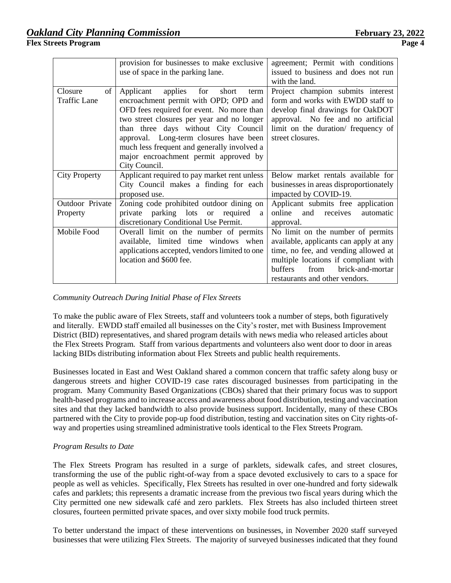|                                             | provision for businesses to make exclusive    | agreement; Permit with conditions      |
|---------------------------------------------|-----------------------------------------------|----------------------------------------|
|                                             | use of space in the parking lane.             | issued to business and does not run    |
|                                             |                                               | with the land.                         |
| of<br>Closure                               | Applicant<br>applies for<br>short<br>term     | Project champion submits interest      |
| <b>Traffic Lane</b>                         | encroachment permit with OPD; OPD and         | form and works with EWDD staff to      |
|                                             | OFD fees required for event. No more than     | develop final drawings for OakDOT      |
| two street closures per year and no longer  |                                               | approval. No fee and no artificial     |
| than three days without City Council        |                                               | limit on the duration/ frequency of    |
| approval. Long-term closures have been      |                                               | street closures.                       |
| much less frequent and generally involved a |                                               |                                        |
|                                             | major encroachment permit approved by         |                                        |
|                                             | City Council.                                 |                                        |
| <b>City Property</b>                        | Applicant required to pay market rent unless  | Below market rentals available for     |
|                                             | City Council makes a finding for each         | businesses in areas disproportionately |
|                                             | proposed use.                                 | impacted by COVID-19.                  |
| Outdoor Private                             | Zoning code prohibited outdoor dining on      | Applicant submits free application     |
| Property                                    | private parking lots or required<br>a         | online<br>and<br>receives<br>automatic |
|                                             | discretionary Conditional Use Permit.         | approval.                              |
| Mobile Food                                 | Overall limit on the number of permits        | No limit on the number of permits      |
|                                             | available, limited time windows when          | available, applicants can apply at any |
|                                             | applications accepted, vendors limited to one | time, no fee, and vending allowed at   |
|                                             | location and \$600 fee.                       | multiple locations if compliant with   |
|                                             |                                               | brick-and-mortar<br>buffers<br>from    |
|                                             |                                               | restaurants and other vendors.         |

*Community Outreach During Initial Phase of Flex Streets*

To make the public aware of Flex Streets, staff and volunteers took a number of steps, both figuratively and literally. EWDD staff emailed all businesses on the City's roster, met with Business Improvement District (BID) representatives, and shared program details with news media who released articles about the Flex Streets Program. Staff from various departments and volunteers also went door to door in areas lacking BIDs distributing information about Flex Streets and public health requirements.

Businesses located in East and West Oakland shared a common concern that traffic safety along busy or dangerous streets and higher COVID-19 case rates discouraged businesses from participating in the program. Many Community Based Organizations (CBOs) shared that their primary focus was to support health-based programs and to increase access and awareness about food distribution, testing and vaccination sites and that they lacked bandwidth to also provide business support. Incidentally, many of these CBOs partnered with the City to provide pop-up food distribution, testing and vaccination sites on City rights-ofway and properties using streamlined administrative tools identical to the Flex Streets Program.

### *Program Results to Date*

The Flex Streets Program has resulted in a surge of parklets, sidewalk cafes, and street closures, transforming the use of the public right-of-way from a space devoted exclusively to cars to a space for people as well as vehicles. Specifically, Flex Streets has resulted in over one-hundred and forty sidewalk cafes and parklets; this represents a dramatic increase from the previous two fiscal years during which the City permitted one new sidewalk café and zero parklets. Flex Streets has also included thirteen street closures, fourteen permitted private spaces, and over sixty mobile food truck permits.

To better understand the impact of these interventions on businesses, in November 2020 staff surveyed businesses that were utilizing Flex Streets. The majority of surveyed businesses indicated that they found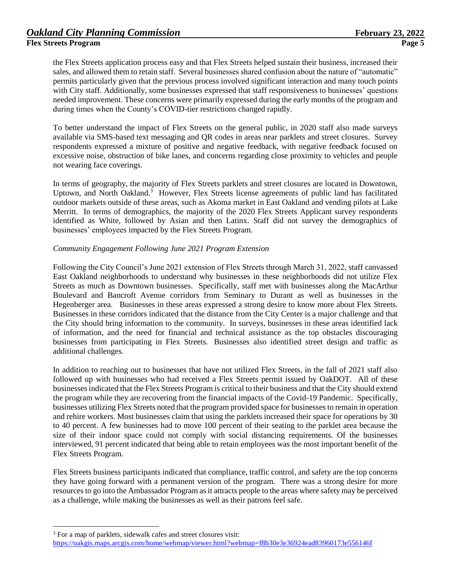the Flex Streets application process easy and that Flex Streets helped sustain their business, increased their sales, and allowed them to retain staff. Several businesses shared confusion about the nature of "automatic" permits particularly given that the previous process involved significant interaction and many touch points with City staff. Additionally, some businesses expressed that staff responsiveness to businesses' questions needed improvement. These concerns were primarily expressed during the early months of the program and during times when the County's COVID-tier restrictions changed rapidly.

To better understand the impact of Flex Streets on the general public, in 2020 staff also made surveys available via SMS-based text messaging and QR codes in areas near parklets and street closures. Survey respondents expressed a mixture of positive and negative feedback, with negative feedback focused on excessive noise, obstruction of bike lanes, and concerns regarding close proximity to vehicles and people not wearing face coverings.

In terms of geography, the majority of Flex Streets parklets and street closures are located in Downtown, Uptown, and North Oakland.<sup>3</sup> However, Flex Streets license agreements of public land has facilitated outdoor markets outside of these areas, such as Akoma market in East Oakland and vending pilots at Lake Merritt. In terms of demographics, the majority of the 2020 Flex Streets Applicant survey respondents identified as White, followed by Asian and then Latinx. Staff did not survey the demographics of businesses' employees impacted by the Flex Streets Program.

### *Community Engagement Following June 2021 Program Extension*

Following the City Council's June 2021 extension of Flex Streets through March 31, 2022, staff canvassed East Oakland neighborhoods to understand why businesses in these neighborhoods did not utilize Flex Streets as much as Downtown businesses. Specifically, staff met with businesses along the MacArthur Boulevard and Bancroft Avenue corridors from Seminary to Durant as well as businesses in the Hegenberger area. Businesses in these areas expressed a strong desire to know more about Flex Streets. Businesses in these corridors indicated that the distance from the City Center is a major challenge and that the City should bring information to the community. In surveys, businesses in these areas identified lack of information, and the need for financial and technical assistance as the top obstacles discouraging businesses from participating in Flex Streets. Businesses also identified street design and traffic as additional challenges.

In addition to reaching out to businesses that have not utilized Flex Streets, in the fall of 2021 staff also followed up with businesses who had received a Flex Streets permit issued by OakDOT. All of these businesses indicated that the Flex Streets Program is critical to their business and that the City should extend the program while they are recovering from the financial impacts of the Covid-19 Pandemic. Specifically, businesses utilizing Flex Streets noted that the program provided space for businesses to remain in operation and rehire workers. Most businesses claim that using the parklets increased their space for operations by 30 to 40 percent. A few businesses had to move 100 percent of their seating to the parklet area because the size of their indoor space could not comply with social distancing requirements. Of the businesses interviewed, 91 percent indicated that being able to retain employees was the most important benefit of the Flex Streets Program.

Flex Streets business participants indicated that compliance, traffic control, and safety are the top concerns they have going forward with a permanent version of the program. There was a strong desire for more resources to go into the Ambassador Program as it attracts people to the areas where safety may be perceived as a challenge, while making the businesses as well as their patrons feel safe.

l

<sup>3</sup> For a map of parklets, sidewalk cafes and street closures visit:

<https://oakgis.maps.arcgis.com/home/webmap/viewer.html?webmap=f8b30e3e36924ead83960173e556146f>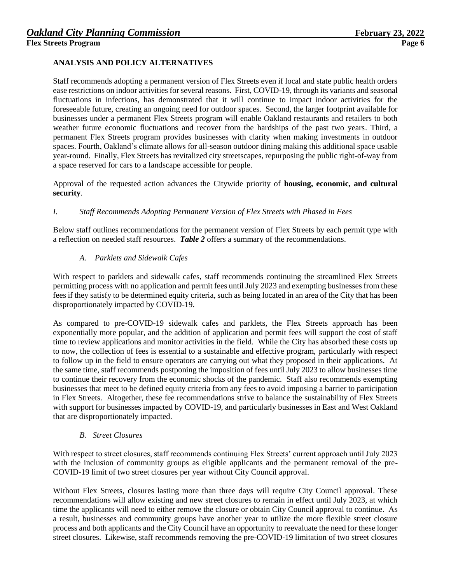### **ANALYSIS AND POLICY ALTERNATIVES**

Staff recommends adopting a permanent version of Flex Streets even if local and state public health orders ease restrictions on indoor activities for several reasons. First, COVID-19, through its variants and seasonal fluctuations in infections, has demonstrated that it will continue to impact indoor activities for the foreseeable future, creating an ongoing need for outdoor spaces. Second, the larger footprint available for businesses under a permanent Flex Streets program will enable Oakland restaurants and retailers to both weather future economic fluctuations and recover from the hardships of the past two years. Third, a permanent Flex Streets program provides businesses with clarity when making investments in outdoor spaces. Fourth, Oakland's climate allows for all-season outdoor dining making this additional space usable year-round. Finally, Flex Streets has revitalized city streetscapes, repurposing the public right-of-way from a space reserved for cars to a landscape accessible for people.

Approval of the requested action advances the Citywide priority of **housing, economic, and cultural security**.

### *I. Staff Recommends Adopting Permanent Version of Flex Streets with Phased in Fees*

Below staff outlines recommendations for the permanent version of Flex Streets by each permit type with a reflection on needed staff resources. *Table 2* offers a summary of the recommendations.

### *A. Parklets and Sidewalk Cafes*

With respect to parklets and sidewalk cafes, staff recommends continuing the streamlined Flex Streets permitting process with no application and permit fees until July 2023 and exempting businesses from these fees if they satisfy to be determined equity criteria, such as being located in an area of the City that has been disproportionately impacted by COVID-19.

As compared to pre-COVID-19 sidewalk cafes and parklets, the Flex Streets approach has been exponentially more popular, and the addition of application and permit fees will support the cost of staff time to review applications and monitor activities in the field. While the City has absorbed these costs up to now, the collection of fees is essential to a sustainable and effective program, particularly with respect to follow up in the field to ensure operators are carrying out what they proposed in their applications. At the same time, staff recommends postponing the imposition of fees until July 2023 to allow businesses time to continue their recovery from the economic shocks of the pandemic. Staff also recommends exempting businesses that meet to be defined equity criteria from any fees to avoid imposing a barrier to participation in Flex Streets. Altogether, these fee recommendations strive to balance the sustainability of Flex Streets with support for businesses impacted by COVID-19, and particularly businesses in East and West Oakland that are disproportionately impacted.

### *B. Street Closures*

With respect to street closures, staff recommends continuing Flex Streets' current approach until July 2023 with the inclusion of community groups as eligible applicants and the permanent removal of the pre-COVID-19 limit of two street closures per year without City Council approval.

Without Flex Streets, closures lasting more than three days will require City Council approval. These recommendations will allow existing and new street closures to remain in effect until July 2023, at which time the applicants will need to either remove the closure or obtain City Council approval to continue. As a result, businesses and community groups have another year to utilize the more flexible street closure process and both applicants and the City Council have an opportunity to reevaluate the need for these longer street closures. Likewise, staff recommends removing the pre-COVID-19 limitation of two street closures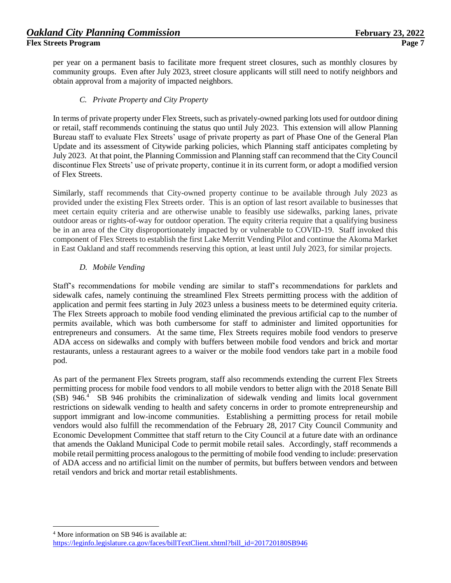per year on a permanent basis to facilitate more frequent street closures, such as monthly closures by community groups. Even after July 2023, street closure applicants will still need to notify neighbors and obtain approval from a majority of impacted neighbors.

### *C. Private Property and City Property*

In terms of private property under Flex Streets, such as privately-owned parking lots used for outdoor dining or retail, staff recommends continuing the status quo until July 2023. This extension will allow Planning Bureau staff to evaluate Flex Streets' usage of private property as part of Phase One of the General Plan Update and its assessment of Citywide parking policies, which Planning staff anticipates completing by July 2023. At that point, the Planning Commission and Planning staff can recommend that the City Council discontinue Flex Streets' use of private property, continue it in its current form, or adopt a modified version of Flex Streets.

Similarly, staff recommends that City-owned property continue to be available through July 2023 as provided under the existing Flex Streets order. This is an option of last resort available to businesses that meet certain equity criteria and are otherwise unable to feasibly use sidewalks, parking lanes, private outdoor areas or rights-of-way for outdoor operation. The equity criteria require that a qualifying business be in an area of the City disproportionately impacted by or vulnerable to COVID-19. Staff invoked this component of Flex Streets to establish the first Lake Merritt Vending Pilot and continue the Akoma Market in East Oakland and staff recommends reserving this option, at least until July 2023, for similar projects.

### *D. Mobile Vending*

Staff's recommendations for mobile vending are similar to staff's recommendations for parklets and sidewalk cafes, namely continuing the streamlined Flex Streets permitting process with the addition of application and permit fees starting in July 2023 unless a business meets to be determined equity criteria. The Flex Streets approach to mobile food vending eliminated the previous artificial cap to the number of permits available, which was both cumbersome for staff to administer and limited opportunities for entrepreneurs and consumers. At the same time, Flex Streets requires mobile food vendors to preserve ADA access on sidewalks and comply with buffers between mobile food vendors and brick and mortar restaurants, unless a restaurant agrees to a waiver or the mobile food vendors take part in a mobile food pod.

As part of the permanent Flex Streets program, staff also recommends extending the current Flex Streets permitting process for mobile food vendors to all mobile vendors to better align with the 2018 Senate Bill (SB) 946.<sup>4</sup> SB 946 prohibits the criminalization of sidewalk vending and limits local government restrictions on sidewalk vending to health and safety concerns in order to promote entrepreneurship and support immigrant and low-income communities. Establishing a permitting process for retail mobile vendors would also fulfill the recommendation of the February 28, 2017 City Council Community and Economic Development Committee that staff return to the City Council at a future date with an ordinance that amends the Oakland Municipal Code to permit mobile retail sales. Accordingly, staff recommends a mobile retail permitting process analogous to the permitting of mobile food vending to include: preservation of ADA access and no artificial limit on the number of permits, but buffers between vendors and between retail vendors and brick and mortar retail establishments.

l

<sup>4</sup> More information on SB 946 is available at:

[https://leginfo.legislature.ca.gov/faces/billTextClient.xhtml?bill\\_id=201720180SB946](https://leginfo.legislature.ca.gov/faces/billTextClient.xhtml?bill_id=201720180SB946)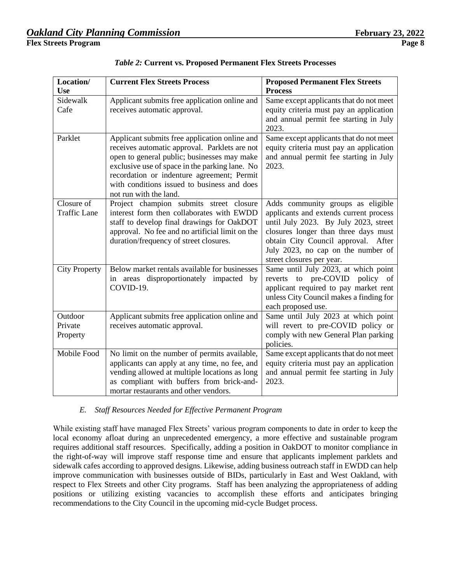| Location/<br><b>Use</b>           | <b>Current Flex Streets Process</b>                                                                                                                                                                                                                                                                                    | <b>Proposed Permanent Flex Streets</b><br><b>Process</b>                                                                                                                                                                                                               |
|-----------------------------------|------------------------------------------------------------------------------------------------------------------------------------------------------------------------------------------------------------------------------------------------------------------------------------------------------------------------|------------------------------------------------------------------------------------------------------------------------------------------------------------------------------------------------------------------------------------------------------------------------|
| Sidewalk<br>Cafe                  | Applicant submits free application online and<br>receives automatic approval.                                                                                                                                                                                                                                          | Same except applicants that do not meet<br>equity criteria must pay an application<br>and annual permit fee starting in July<br>2023.                                                                                                                                  |
| Parklet                           | Applicant submits free application online and<br>receives automatic approval. Parklets are not<br>open to general public; businesses may make<br>exclusive use of space in the parking lane. No<br>recordation or indenture agreement; Permit<br>with conditions issued to business and does<br>not run with the land. | Same except applicants that do not meet<br>equity criteria must pay an application<br>and annual permit fee starting in July<br>2023.                                                                                                                                  |
| Closure of<br><b>Traffic Lane</b> | Project champion submits street closure<br>interest form then collaborates with EWDD<br>staff to develop final drawings for OakDOT<br>approval. No fee and no artificial limit on the<br>duration/frequency of street closures.                                                                                        | Adds community groups as eligible<br>applicants and extends current process<br>until July 2023. By July 2023, street<br>closures longer than three days must<br>obtain City Council approval. After<br>July 2023, no cap on the number of<br>street closures per year. |
| <b>City Property</b>              | Below market rentals available for businesses<br>in areas disproportionately impacted by<br>COVID-19.                                                                                                                                                                                                                  | Same until July 2023, at which point<br>to pre-COVID<br>policy of<br>reverts<br>applicant required to pay market rent<br>unless City Council makes a finding for<br>each proposed use.                                                                                 |
| Outdoor<br>Private<br>Property    | Applicant submits free application online and<br>receives automatic approval.                                                                                                                                                                                                                                          | Same until July 2023 at which point<br>will revert to pre-COVID policy or<br>comply with new General Plan parking<br>policies.                                                                                                                                         |
| Mobile Food                       | No limit on the number of permits available,<br>applicants can apply at any time, no fee, and<br>vending allowed at multiple locations as long<br>as compliant with buffers from brick-and-<br>mortar restaurants and other vendors.                                                                                   | Same except applicants that do not meet<br>equity criteria must pay an application<br>and annual permit fee starting in July<br>2023.                                                                                                                                  |

*Table 2:* **Current vs. Proposed Permanent Flex Streets Processes**

# *E. Staff Resources Needed for Effective Permanent Program*

While existing staff have managed Flex Streets' various program components to date in order to keep the local economy afloat during an unprecedented emergency, a more effective and sustainable program requires additional staff resources. Specifically, adding a position in OakDOT to monitor compliance in the right-of-way will improve staff response time and ensure that applicants implement parklets and sidewalk cafes according to approved designs. Likewise, adding business outreach staff in EWDD can help improve communication with businesses outside of BIDs, particularly in East and West Oakland, with respect to Flex Streets and other City programs. Staff has been analyzing the appropriateness of adding positions or utilizing existing vacancies to accomplish these efforts and anticipates bringing recommendations to the City Council in the upcoming mid-cycle Budget process.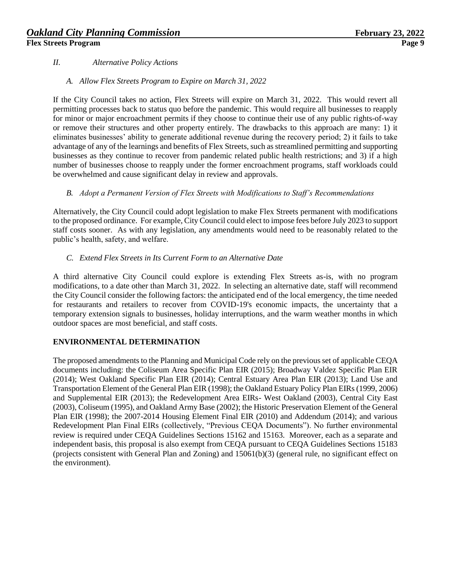### *II. Alternative Policy Actions*

### *A. Allow Flex Streets Program to Expire on March 31, 2022*

If the City Council takes no action, Flex Streets will expire on March 31, 2022. This would revert all permitting processes back to status quo before the pandemic. This would require all businesses to reapply for minor or major encroachment permits if they choose to continue their use of any public rights-of-way or remove their structures and other property entirely. The drawbacks to this approach are many: 1) it eliminates businesses' ability to generate additional revenue during the recovery period; 2) it fails to take advantage of any of the learnings and benefits of Flex Streets, such as streamlined permitting and supporting businesses as they continue to recover from pandemic related public health restrictions; and 3) if a high number of businesses choose to reapply under the former encroachment programs, staff workloads could be overwhelmed and cause significant delay in review and approvals.

### *B. Adopt a Permanent Version of Flex Streets with Modifications to Staff's Recommendations*

Alternatively, the City Council could adopt legislation to make Flex Streets permanent with modifications to the proposed ordinance. For example, City Council could elect to impose fees before July 2023 to support staff costs sooner. As with any legislation, any amendments would need to be reasonably related to the public's health, safety, and welfare.

### *C. Extend Flex Streets in Its Current Form to an Alternative Date*

A third alternative City Council could explore is extending Flex Streets as-is, with no program modifications, to a date other than March 31, 2022. In selecting an alternative date, staff will recommend the City Council consider the following factors: the anticipated end of the local emergency, the time needed for restaurants and retailers to recover from COVID-19's economic impacts, the uncertainty that a temporary extension signals to businesses, holiday interruptions, and the warm weather months in which outdoor spaces are most beneficial, and staff costs.

### **ENVIRONMENTAL DETERMINATION**

The proposed amendments to the Planning and Municipal Code rely on the previous set of applicable CEQA documents including: the Coliseum Area Specific Plan EIR (2015); Broadway Valdez Specific Plan EIR (2014); West Oakland Specific Plan EIR (2014); Central Estuary Area Plan EIR (2013); Land Use and Transportation Element of the General Plan EIR (1998); the Oakland Estuary Policy Plan EIRs (1999, 2006) and Supplemental EIR (2013); the Redevelopment Area EIRs- West Oakland (2003), Central City East (2003), Coliseum (1995), and Oakland Army Base (2002); the Historic Preservation Element of the General Plan EIR (1998); the 2007-2014 Housing Element Final EIR (2010) and Addendum (2014); and various Redevelopment Plan Final EIRs (collectively, "Previous CEQA Documents"). No further environmental review is required under CEQA Guidelines Sections 15162 and 15163. Moreover, each as a separate and independent basis, this proposal is also exempt from CEQA pursuant to CEQA Guidelines Sections 15183 (projects consistent with General Plan and Zoning) and 15061(b)(3) (general rule, no significant effect on the environment).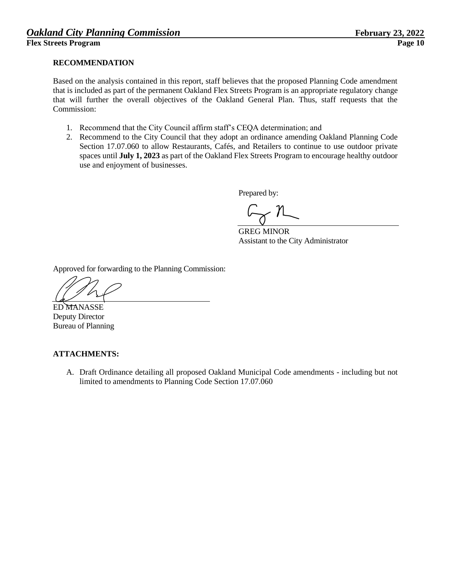### **RECOMMENDATION**

Based on the analysis contained in this report, staff believes that the proposed Planning Code amendment that is included as part of the permanent Oakland Flex Streets Program is an appropriate regulatory change that will further the overall objectives of the Oakland General Plan. Thus, staff requests that the Commission:

- 1. Recommend that the City Council affirm staff's CEQA determination; and
- 2. Recommend to the City Council that they adopt an ordinance amending Oakland Planning Code Section 17.07.060 to allow Restaurants, Cafés, and Retailers to continue to use outdoor private spaces until **July 1, 2023** as part of the Oakland Flex Streets Program to encourage healthy outdoor use and enjoyment of businesses.

Prepared by:

GREG MINOR Assistant to the City Administrator

Approved for forwarding to the Planning Commission:

ED MANASSE Deputy Director Bureau of Planning

### **ATTACHMENTS:**

A. Draft Ordinance detailing all proposed Oakland Municipal Code amendments - including but not limited to amendments to Planning Code Section 17.07.060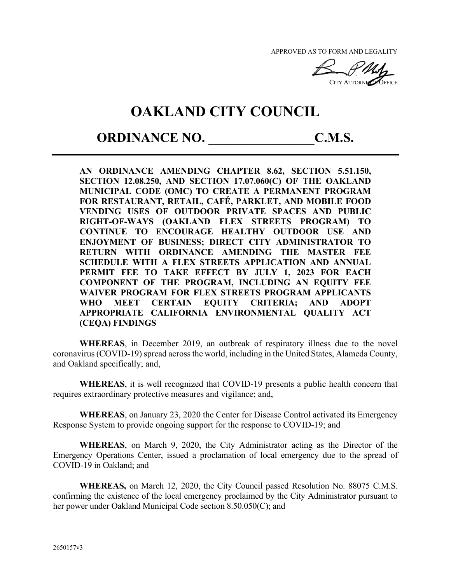APPROVED AS TO FORM AND LEGALITY

 $\sqrt{2}$ CITY ATTORNEY<sup>S</sup> OFFICE

# **OAKLAND CITY COUNCIL**

# **ORDINANCE NO.** C.M.S.

**AN ORDINANCE AMENDING CHAPTER 8.62, SECTION 5.51.150, SECTION 12.08.250, AND SECTION 17.07.060(C) OF THE OAKLAND MUNICIPAL CODE (OMC) TO CREATE A PERMANENT PROGRAM FOR RESTAURANT, RETAIL, CAFÉ, PARKLET, AND MOBILE FOOD VENDING USES OF OUTDOOR PRIVATE SPACES AND PUBLIC RIGHT-OF-WAYS (OAKLAND FLEX STREETS PROGRAM) TO CONTINUE TO ENCOURAGE HEALTHY OUTDOOR USE AND ENJOYMENT OF BUSINESS; DIRECT CITY ADMINISTRATOR TO RETURN WITH ORDINANCE AMENDING THE MASTER FEE SCHEDULE WITH A FLEX STREETS APPLICATION AND ANNUAL PERMIT FEE TO TAKE EFFECT BY JULY 1, 2023 FOR EACH COMPONENT OF THE PROGRAM, INCLUDING AN EQUITY FEE WAIVER PROGRAM FOR FLEX STREETS PROGRAM APPLICANTS WHO MEET CERTAIN EQUITY CRITERIA; AND ADOPT APPROPRIATE CALIFORNIA ENVIRONMENTAL QUALITY ACT (CEQA) FINDINGS**

**WHEREAS**, in December 2019, an outbreak of respiratory illness due to the novel coronavirus (COVID-19) spread across the world, including in the United States, Alameda County, and Oakland specifically; and,

**WHEREAS**, it is well recognized that COVID-19 presents a public health concern that requires extraordinary protective measures and vigilance; and,

**WHEREAS**, on January 23, 2020 the Center for Disease Control activated its Emergency Response System to provide ongoing support for the response to COVID-19; and

**WHEREAS**, on March 9, 2020, the City Administrator acting as the Director of the Emergency Operations Center, issued a proclamation of local emergency due to the spread of COVID-19 in Oakland; and

**WHEREAS,** on March 12, 2020, the City Council passed Resolution No. 88075 C.M.S. confirming the existence of the local emergency proclaimed by the City Administrator pursuant to her power under Oakland Municipal Code section 8.50.050(C); and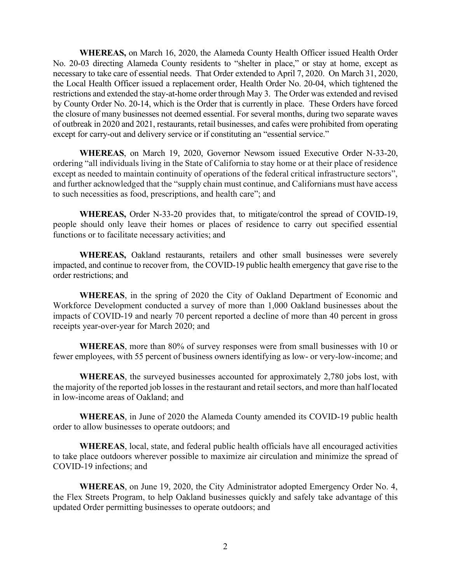**WHEREAS,** on March 16, 2020, the Alameda County Health Officer issued Health Order No. 20-03 directing Alameda County residents to "shelter in place," or stay at home, except as necessary to take care of essential needs. That Order extended to April 7, 2020. On March 31, 2020, the Local Health Officer issued a replacement order, Health Order No. 20-04, which tightened the restrictions and extended the stay-at-home order through May 3. The Order was extended and revised by County Order No. 20-14, which is the Order that is currently in place. These Orders have forced the closure of many businesses not deemed essential. For several months, during two separate waves of outbreak in 2020 and 2021, restaurants, retail businesses, and cafes were prohibited from operating except for carry-out and delivery service or if constituting an "essential service."

**WHEREAS**, on March 19, 2020, Governor Newsom issued Executive Order N-33-20, ordering "all individuals living in the State of California to stay home or at their place of residence except as needed to maintain continuity of operations of the federal critical infrastructure sectors", and further acknowledged that the "supply chain must continue, and Californians must have access to such necessities as food, prescriptions, and health care"; and

**WHEREAS,** Order N-33-20 provides that, to mitigate/control the spread of COVID-19, people should only leave their homes or places of residence to carry out specified essential functions or to facilitate necessary activities; and

**WHEREAS,** Oakland restaurants, retailers and other small businesses were severely impacted, and continue to recover from, the COVID-19 public health emergency that gave rise to the order restrictions; and

**WHEREAS**, in the spring of 2020 the City of Oakland Department of Economic and Workforce Development conducted a survey of more than 1,000 Oakland businesses about the impacts of COVID-19 and nearly 70 percent reported a decline of more than 40 percent in gross receipts year-over-year for March 2020; and

**WHEREAS**, more than 80% of survey responses were from small businesses with 10 or fewer employees, with 55 percent of business owners identifying as low- or very-low-income; and

**WHEREAS**, the surveyed businesses accounted for approximately 2,780 jobs lost, with the majority of the reported job losses in the restaurant and retail sectors, and more than half located in low-income areas of Oakland; and

**WHEREAS**, in June of 2020 the Alameda County amended its COVID-19 public health order to allow businesses to operate outdoors; and

**WHEREAS**, local, state, and federal public health officials have all encouraged activities to take place outdoors wherever possible to maximize air circulation and minimize the spread of COVID-19 infections; and

**WHEREAS**, on June 19, 2020, the City Administrator adopted Emergency Order No. 4, the Flex Streets Program, to help Oakland businesses quickly and safely take advantage of this updated Order permitting businesses to operate outdoors; and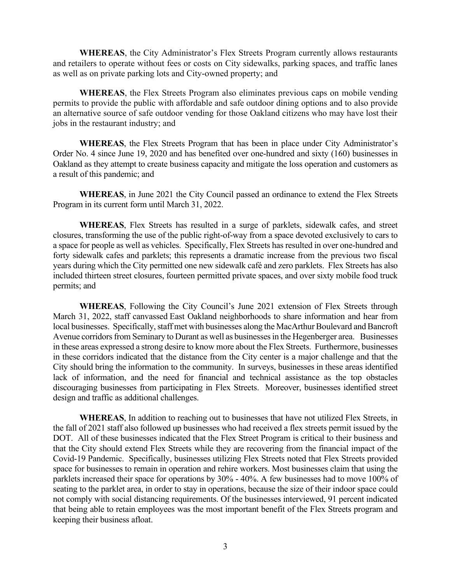**WHEREAS**, the City Administrator's Flex Streets Program currently allows restaurants and retailers to operate without fees or costs on City sidewalks, parking spaces, and traffic lanes as well as on private parking lots and City-owned property; and

**WHEREAS**, the Flex Streets Program also eliminates previous caps on mobile vending permits to provide the public with affordable and safe outdoor dining options and to also provide an alternative source of safe outdoor vending for those Oakland citizens who may have lost their jobs in the restaurant industry; and

**WHEREAS**, the Flex Streets Program that has been in place under City Administrator's Order No. 4 since June 19, 2020 and has benefited over one-hundred and sixty (160) businesses in Oakland as they attempt to create business capacity and mitigate the loss operation and customers as a result of this pandemic; and

**WHEREAS**, in June 2021 the City Council passed an ordinance to extend the Flex Streets Program in its current form until March 31, 2022.

**WHEREAS**, Flex Streets has resulted in a surge of parklets, sidewalk cafes, and street closures, transforming the use of the public right-of-way from a space devoted exclusively to cars to a space for people as well as vehicles. Specifically, Flex Streets has resulted in over one-hundred and forty sidewalk cafes and parklets; this represents a dramatic increase from the previous two fiscal years during which the City permitted one new sidewalk café and zero parklets. Flex Streets has also included thirteen street closures, fourteen permitted private spaces, and over sixty mobile food truck permits; and

**WHEREAS**, Following the City Council's June 2021 extension of Flex Streets through March 31, 2022, staff canvassed East Oakland neighborhoods to share information and hear from local businesses. Specifically, staff met with businesses along the MacArthur Boulevard and Bancroft Avenue corridors from Seminary to Durant as well as businesses in the Hegenberger area. Businesses in these areas expressed a strong desire to know more about the Flex Streets. Furthermore, businesses in these corridors indicated that the distance from the City center is a major challenge and that the City should bring the information to the community. In surveys, businesses in these areas identified lack of information, and the need for financial and technical assistance as the top obstacles discouraging businesses from participating in Flex Streets. Moreover, businesses identified street design and traffic as additional challenges.

**WHEREAS**, In addition to reaching out to businesses that have not utilized Flex Streets, in the fall of 2021 staff also followed up businesses who had received a flex streets permit issued by the DOT. All of these businesses indicated that the Flex Street Program is critical to their business and that the City should extend Flex Streets while they are recovering from the financial impact of the Covid-19 Pandemic. Specifically, businesses utilizing Flex Streets noted that Flex Streets provided space for businesses to remain in operation and rehire workers. Most businesses claim that using the parklets increased their space for operations by 30% - 40%. A few businesses had to move 100% of seating to the parklet area, in order to stay in operations, because the size of their indoor space could not comply with social distancing requirements. Of the businesses interviewed, 91 percent indicated that being able to retain employees was the most important benefit of the Flex Streets program and keeping their business afloat.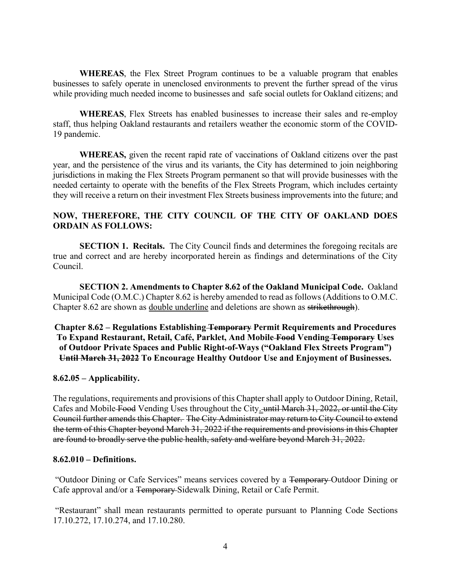**WHEREAS**, the Flex Street Program continues to be a valuable program that enables businesses to safely operate in unenclosed environments to prevent the further spread of the virus while providing much needed income to businesses and safe social outlets for Oakland citizens; and

**WHEREAS**, Flex Streets has enabled businesses to increase their sales and re-employ staff, thus helping Oakland restaurants and retailers weather the economic storm of the COVID-19 pandemic.

**WHEREAS,** given the recent rapid rate of vaccinations of Oakland citizens over the past year, and the persistence of the virus and its variants, the City has determined to join neighboring jurisdictions in making the Flex Streets Program permanent so that will provide businesses with the needed certainty to operate with the benefits of the Flex Streets Program, which includes certainty they will receive a return on their investment Flex Streets business improvements into the future; and

### **NOW, THEREFORE, THE CITY COUNCIL OF THE CITY OF OAKLAND DOES ORDAIN AS FOLLOWS:**

**SECTION 1. Recitals.** The City Council finds and determines the foregoing recitals are true and correct and are hereby incorporated herein as findings and determinations of the City Council.

**SECTION 2. Amendments to Chapter 8.62 of the Oakland Municipal Code.** Oakland Municipal Code (O.M.C.) Chapter 8.62 is hereby amended to read as follows (Additions to O.M.C. Chapter 8.62 are shown as double underline and deletions are shown as strikethrough).

**Chapter 8.62 ± Regulations Establishing Temporary Permit Requirements and Procedures To Expand Restaurant, Retail, Café, Parklet, And Mobile Food Vending Temporary Uses**  of Outdoor Private Spaces and Public Right-of-Ways ("Oakland Flex Streets Program") **Until March 31, 2022 To Encourage Healthy Outdoor Use and Enjoyment of Businesses.**

### **8.62.05 ± Applicability.**

The regulations, requirements and provisions of this Chapter shall apply to Outdoor Dining, Retail, Cafes and Mobile Food Vending Uses throughout the City. until March 31, 2022, or until the City Council further amends this Chapter. The City Administrator may return to City Council to extend the term of this Chapter beyond March 31, 2022 if the requirements and provisions in this Chapter are found to broadly serve the public health, safety and welfare beyond March 31, 2022.

### **8.62.010 ± Definitions.**

"Outdoor Dining or Cafe Services" means services covered by a <del>Temporary Outdoor Dining or</del> Cafe approval and/or a Temporary Sidewalk Dining, Retail or Cafe Permit.

"Restaurant" shall mean restaurants permitted to operate pursuant to Planning Code Sections 17.10.272, 17.10.274, and 17.10.280.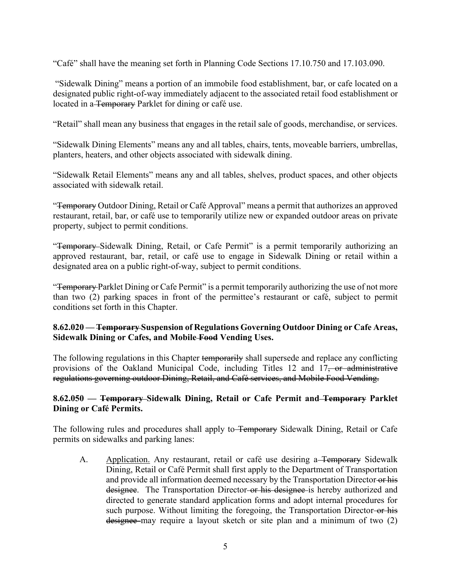³Café´ shall have the meaning set forth in Planning Code Sections 17.10.750 and 17.103.090.

"Sidewalk Dining" means a portion of an immobile food establishment, bar, or cafe located on a designated public right-of-way immediately adjacent to the associated retail food establishment or located in a Temporary Parklet for dining or café use.

"Retail" shall mean any business that engages in the retail sale of goods, merchandise, or services.

"Sidewalk Dining Elements" means any and all tables, chairs, tents, moveable barriers, umbrellas, planters, heaters, and other objects associated with sidewalk dining.

"Sidewalk Retail Elements" means any and all tables, shelves, product spaces, and other objects associated with sidewalk retail.

"Temporary Outdoor Dining, Retail or Café Approval" means a permit that authorizes an approved restaurant, retail, bar, or café use to temporarily utilize new or expanded outdoor areas on private property, subject to permit conditions.

"Temporary Sidewalk Dining, Retail, or Cafe Permit" is a permit temporarily authorizing an approved restaurant, bar, retail, or café use to engage in Sidewalk Dining or retail within a designated area on a public right-of-way, subject to permit conditions.

"Temporary Parklet Dining or Cafe Permit" is a permit temporarily authorizing the use of not more than two  $(2)$  parking spaces in front of the permittee's restaurant or café, subject to permit conditions set forth in this Chapter.

### **8.62.020 ² Temporary Suspension of Regulations Governing Outdoor Dining or Cafe Areas, Sidewalk Dining or Cafes, and Mobile Food Vending Uses.**

The following regulations in this Chapter temporarily shall supersede and replace any conflicting provisions of the Oakland Municipal Code, including Titles 12 and 17, or administrative regulations governing outdoor Dining, Retail, and Café services, and Mobile Food Vending.

### **8.62.050 ² Temporary Sidewalk Dining, Retail or Cafe Permit and Temporary Parklet Dining or Café Permits.**

The following rules and procedures shall apply to Temporary Sidewalk Dining, Retail or Cafe permits on sidewalks and parking lanes:

A. Application. Any restaurant, retail or café use desiring a<del>-Temporary</del> Sidewalk Dining, Retail or Café Permit shall first apply to the Department of Transportation and provide all information deemed necessary by the Transportation Director or his designee. The Transportation Director-or his designee is hereby authorized and directed to generate standard application forms and adopt internal procedures for such purpose. Without limiting the foregoing, the Transportation Director-or his designee may require a layout sketch or site plan and a minimum of two (2)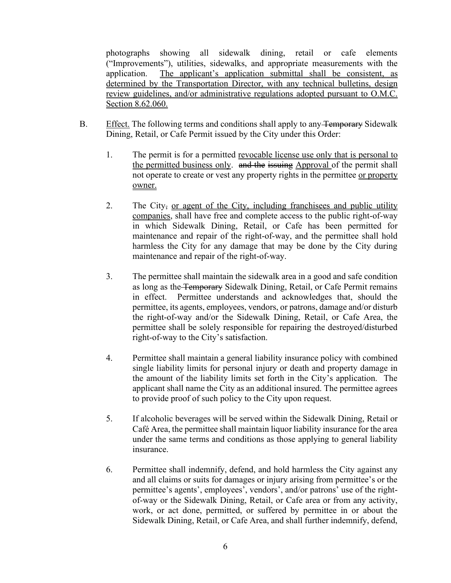photographs showing all sidewalk dining, retail or cafe elements ("Improvements"), utilities, sidewalks, and appropriate measurements with the application. The applicant's application submittal shall be consistent, as determined by the Transportation Director, with any technical bulletins, design review guidelines, and/or administrative regulations adopted pursuant to O.M.C. Section 8.62.060.

- B. Effect. The following terms and conditions shall apply to any Temporary Sidewalk Dining, Retail, or Cafe Permit issued by the City under this Order:
	- 1. The permit is for a permitted revocable license use only that is personal to the permitted business only. and the issuing Approval of the permit shall not operate to create or vest any property rights in the permittee or property owner.
	- 2. The City, or agent of the City, including franchisees and public utility companies, shall have free and complete access to the public right-of-way in which Sidewalk Dining, Retail, or Cafe has been permitted for maintenance and repair of the right-of-way, and the permittee shall hold harmless the City for any damage that may be done by the City during maintenance and repair of the right-of-way.
	- 3. The permittee shall maintain the sidewalk area in a good and safe condition as long as the Temporary Sidewalk Dining, Retail, or Cafe Permit remains in effect. Permittee understands and acknowledges that, should the permittee, its agents, employees, vendors, or patrons, damage and/or disturb the right-of-way and/or the Sidewalk Dining, Retail, or Cafe Area, the permittee shall be solely responsible for repairing the destroyed/disturbed right-of-way to the City's satisfaction.
	- 4. Permittee shall maintain a general liability insurance policy with combined single liability limits for personal injury or death and property damage in the amount of the liability limits set forth in the City's application. The applicant shall name the City as an additional insured. The permittee agrees to provide proof of such policy to the City upon request.
	- 5. If alcoholic beverages will be served within the Sidewalk Dining, Retail or Café Area, the permittee shall maintain liquor liability insurance for the area under the same terms and conditions as those applying to general liability insurance.
	- 6. Permittee shall indemnify, defend, and hold harmless the City against any and all claims or suits for damages or injury arising from permittee's or the permittee's agents', employees', vendors', and/or patrons' use of the rightof-way or the Sidewalk Dining, Retail, or Cafe area or from any activity, work, or act done, permitted, or suffered by permittee in or about the Sidewalk Dining, Retail, or Cafe Area, and shall further indemnify, defend,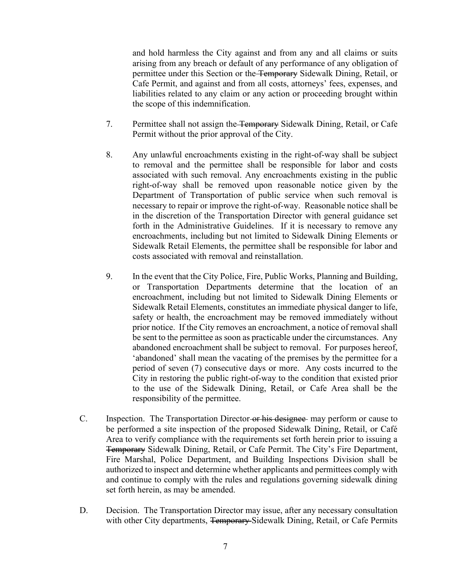and hold harmless the City against and from any and all claims or suits arising from any breach or default of any performance of any obligation of permittee under this Section or the Temporary Sidewalk Dining, Retail, or Cafe Permit, and against and from all costs, attorneys' fees, expenses, and liabilities related to any claim or any action or proceeding brought within the scope of this indemnification.

- 7. Permittee shall not assign the Temporary Sidewalk Dining, Retail, or Cafe Permit without the prior approval of the City.
- 8. Any unlawful encroachments existing in the right-of-way shall be subject to removal and the permittee shall be responsible for labor and costs associated with such removal. Any encroachments existing in the public right-of-way shall be removed upon reasonable notice given by the Department of Transportation of public service when such removal is necessary to repair or improve the right-of-way. Reasonable notice shall be in the discretion of the Transportation Director with general guidance set forth in the Administrative Guidelines. If it is necessary to remove any encroachments, including but not limited to Sidewalk Dining Elements or Sidewalk Retail Elements, the permittee shall be responsible for labor and costs associated with removal and reinstallation.
- 9. In the event that the City Police, Fire, Public Works, Planning and Building, or Transportation Departments determine that the location of an encroachment, including but not limited to Sidewalk Dining Elements or Sidewalk Retail Elements, constitutes an immediate physical danger to life, safety or health, the encroachment may be removed immediately without prior notice. If the City removes an encroachment, a notice of removal shall be sent to the permittee as soon as practicable under the circumstances. Any abandoned encroachment shall be subject to removal. For purposes hereof, 'abandoned' shall mean the vacating of the premises by the permittee for a period of seven (7) consecutive days or more. Any costs incurred to the City in restoring the public right-of-way to the condition that existed prior to the use of the Sidewalk Dining, Retail, or Cafe Area shall be the responsibility of the permittee.
- C. Inspection. The Transportation Director-or his designee may perform or cause to be performed a site inspection of the proposed Sidewalk Dining, Retail, or Café Area to verify compliance with the requirements set forth herein prior to issuing a Temporary Sidewalk Dining, Retail, or Cafe Permit. The City's Fire Department, Fire Marshal, Police Department, and Building Inspections Division shall be authorized to inspect and determine whether applicants and permittees comply with and continue to comply with the rules and regulations governing sidewalk dining set forth herein, as may be amended.
- D. Decision. The Transportation Director may issue, after any necessary consultation with other City departments, Temporary-Sidewalk Dining, Retail, or Cafe Permits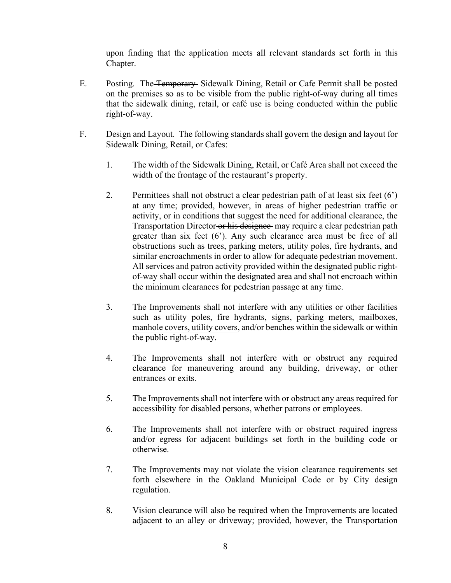upon finding that the application meets all relevant standards set forth in this Chapter.

- E. Posting. The Temporary Sidewalk Dining, Retail or Cafe Permit shall be posted on the premises so as to be visible from the public right-of-way during all times that the sidewalk dining, retail, or café use is being conducted within the public right-of-way.
- F. Design and Layout. The following standards shall govern the design and layout for Sidewalk Dining, Retail, or Cafes:
	- 1. The width of the Sidewalk Dining, Retail, or Café Area shall not exceed the width of the frontage of the restaurant's property.
	- 2. Permittees shall not obstruct a clear pedestrian path of at least six feet  $(6')$ at any time; provided, however, in areas of higher pedestrian traffic or activity, or in conditions that suggest the need for additional clearance, the Transportation Director or his designee may require a clear pedestrian path greater than six feet  $(6)$ . Any such clearance area must be free of all obstructions such as trees, parking meters, utility poles, fire hydrants, and similar encroachments in order to allow for adequate pedestrian movement. All services and patron activity provided within the designated public rightof-way shall occur within the designated area and shall not encroach within the minimum clearances for pedestrian passage at any time.
	- 3. The Improvements shall not interfere with any utilities or other facilities such as utility poles, fire hydrants, signs, parking meters, mailboxes, manhole covers, utility covers, and/or benches within the sidewalk or within the public right-of-way.
	- 4. The Improvements shall not interfere with or obstruct any required clearance for maneuvering around any building, driveway, or other entrances or exits.
	- 5. The Improvements shall not interfere with or obstruct any areas required for accessibility for disabled persons, whether patrons or employees.
	- 6. The Improvements shall not interfere with or obstruct required ingress and/or egress for adjacent buildings set forth in the building code or otherwise.
	- 7. The Improvements may not violate the vision clearance requirements set forth elsewhere in the Oakland Municipal Code or by City design regulation.
	- 8. Vision clearance will also be required when the Improvements are located adjacent to an alley or driveway; provided, however, the Transportation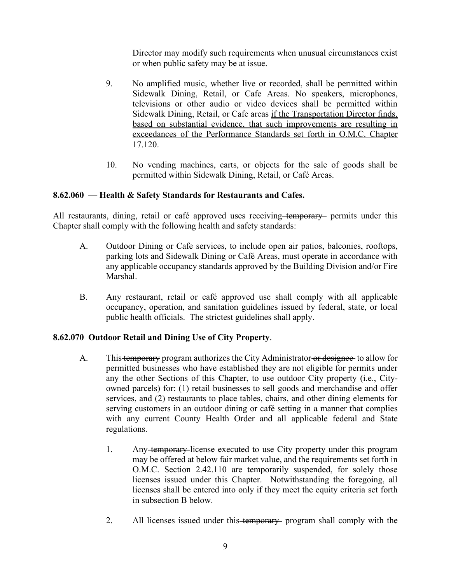Director may modify such requirements when unusual circumstances exist or when public safety may be at issue.

- 9. No amplified music, whether live or recorded, shall be permitted within Sidewalk Dining, Retail, or Cafe Areas. No speakers, microphones, televisions or other audio or video devices shall be permitted within Sidewalk Dining, Retail, or Cafe areas if the Transportation Director finds, based on substantial evidence, that such improvements are resulting in exceedances of the Performance Standards set forth in O.M.C. Chapter 17.120.
- 10. No vending machines, carts, or objects for the sale of goods shall be permitted within Sidewalk Dining, Retail, or Café Areas.

### 8.62.060 – Health & Safety Standards for Restaurants and Cafes.

All restaurants, dining, retail or café approved uses receiving temporary permits under this Chapter shall comply with the following health and safety standards:

- A. Outdoor Dining or Cafe services, to include open air patios, balconies, rooftops, parking lots and Sidewalk Dining or Café Areas, must operate in accordance with any applicable occupancy standards approved by the Building Division and/or Fire **Marshal**
- B. Any restaurant, retail or café approved use shall comply with all applicable occupancy, operation, and sanitation guidelines issued by federal, state, or local public health officials. The strictest guidelines shall apply.

### **8.62.070 Outdoor Retail and Dining Use of City Property**.

- A. This temporary program authorizes the City Administrator or designee to allow for permitted businesses who have established they are not eligible for permits under any the other Sections of this Chapter, to use outdoor City property (i.e., Cityowned parcels) for: (1) retail businesses to sell goods and merchandise and offer services, and (2) restaurants to place tables, chairs, and other dining elements for serving customers in an outdoor dining or café setting in a manner that complies with any current County Health Order and all applicable federal and State regulations.
	- 1. Any temporary license executed to use City property under this program may be offered at below fair market value, and the requirements set forth in O.M.C. Section 2.42.110 are temporarily suspended, for solely those licenses issued under this Chapter. Notwithstanding the foregoing, all licenses shall be entered into only if they meet the equity criteria set forth in subsection B below.
	- 2. All licenses issued under this-temporary- program shall comply with the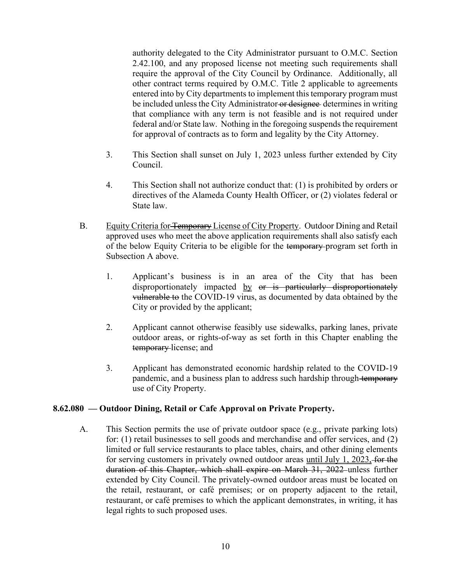authority delegated to the City Administrator pursuant to O.M.C. Section 2.42.100, and any proposed license not meeting such requirements shall require the approval of the City Council by Ordinance. Additionally, all other contract terms required by O.M.C. Title 2 applicable to agreements entered into by City departments to implement this temporary program must be included unless the City Administrator or designee determines in writing that compliance with any term is not feasible and is not required under federal and/or State law. Nothing in the foregoing suspends the requirement for approval of contracts as to form and legality by the City Attorney.

- 3. This Section shall sunset on July 1, 2023 unless further extended by City Council.
- 4. This Section shall not authorize conduct that: (1) is prohibited by orders or directives of the Alameda County Health Officer, or (2) violates federal or State law.
- B. Equity Criteria for Temporary License of City Property.Outdoor Dining and Retail approved uses who meet the above application requirements shall also satisfy each of the below Equity Criteria to be eligible for the temporary program set forth in Subsection A above.
	- 1. Applicant's business is in an area of the City that has been disproportionately impacted by or is particularly disproportionately vulnerable to the COVID-19 virus, as documented by data obtained by the City or provided by the applicant;
	- 2. Applicant cannot otherwise feasibly use sidewalks, parking lanes, private outdoor areas, or rights-of-way as set forth in this Chapter enabling the temporary license; and
	- 3. Applicant has demonstrated economic hardship related to the COVID-19 pandemic, and a business plan to address such hardship through temporary use of City Property.

# 8.62.080 — Outdoor Dining, Retail or Cafe Approval on Private Property.

A. This Section permits the use of private outdoor space (e.g., private parking lots) for: (1) retail businesses to sell goods and merchandise and offer services, and (2) limited or full service restaurants to place tables, chairs, and other dining elements for serving customers in privately owned outdoor areas until July 1, 2023, for the duration of this Chapter, which shall expire on March 31, 2022 unless further extended by City Council. The privately-owned outdoor areas must be located on the retail, restaurant, or café premises; or on property adjacent to the retail, restaurant, or café premises to which the applicant demonstrates, in writing, it has legal rights to such proposed uses.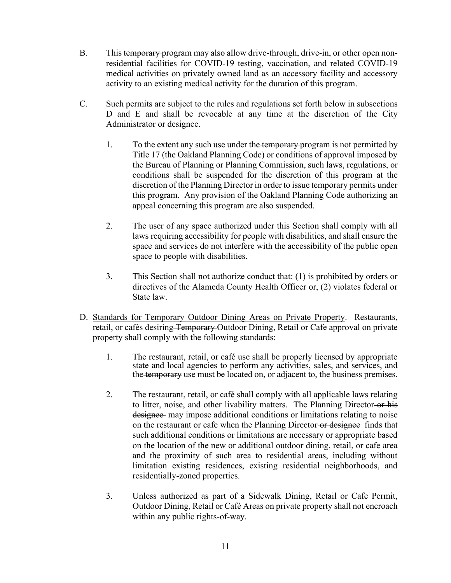- B. This temporary program may also allow drive-through, drive-in, or other open nonresidential facilities for COVID-19 testing, vaccination, and related COVID-19 medical activities on privately owned land as an accessory facility and accessory activity to an existing medical activity for the duration of this program.
- C. Such permits are subject to the rules and regulations set forth below in subsections D and E and shall be revocable at any time at the discretion of the City Administrator-or designee.
	- 1. To the extent any such use under the temporary program is not permitted by Title 17 (the Oakland Planning Code) or conditions of approval imposed by the Bureau of Planning or Planning Commission, such laws, regulations, or conditions shall be suspended for the discretion of this program at the discretion of the Planning Director in order to issue temporary permits under this program. Any provision of the Oakland Planning Code authorizing an appeal concerning this program are also suspended.
	- 2. The user of any space authorized under this Section shall comply with all laws requiring accessibility for people with disabilities, and shall ensure the space and services do not interfere with the accessibility of the public open space to people with disabilities.
	- 3. This Section shall not authorize conduct that: (1) is prohibited by orders or directives of the Alameda County Health Officer or, (2) violates federal or State law.
- D. Standards for<del> Temporary</del> Outdoor Dining Areas on Private Property. Restaurants, retail, or cafés desiring Temporary Outdoor Dining, Retail or Cafe approval on private property shall comply with the following standards:
	- 1. The restaurant, retail, or café use shall be properly licensed by appropriate state and local agencies to perform any activities, sales, and services, and the temporary use must be located on, or adjacent to, the business premises.
	- 2. The restaurant, retail, or café shall comply with all applicable laws relating to litter, noise, and other livability matters. The Planning Director or his designee may impose additional conditions or limitations relating to noise on the restaurant or cafe when the Planning Director or designee finds that such additional conditions or limitations are necessary or appropriate based on the location of the new or additional outdoor dining, retail, or cafe area and the proximity of such area to residential areas, including without limitation existing residences, existing residential neighborhoods, and residentially-zoned properties.
	- 3. Unless authorized as part of a Sidewalk Dining, Retail or Cafe Permit, Outdoor Dining, Retail or Café Areas on private property shall not encroach within any public rights-of-way.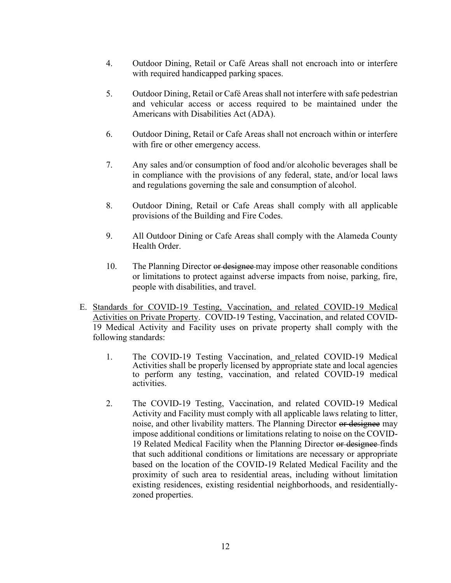- 4. Outdoor Dining, Retail or Café Areas shall not encroach into or interfere with required handicapped parking spaces.
- 5. Outdoor Dining, Retail or Café Areas shall not interfere with safe pedestrian and vehicular access or access required to be maintained under the Americans with Disabilities Act (ADA).
- 6. Outdoor Dining, Retail or Cafe Areas shall not encroach within or interfere with fire or other emergency access.
- 7. Any sales and/or consumption of food and/or alcoholic beverages shall be in compliance with the provisions of any federal, state, and/or local laws and regulations governing the sale and consumption of alcohol.
- 8. Outdoor Dining, Retail or Cafe Areas shall comply with all applicable provisions of the Building and Fire Codes.
- 9. All Outdoor Dining or Cafe Areas shall comply with the Alameda County Health Order.
- 10. The Planning Director or designee may impose other reasonable conditions or limitations to protect against adverse impacts from noise, parking, fire, people with disabilities, and travel.
- E. Standards for COVID-19 Testing, Vaccination, and related COVID-19 Medical Activities on Private Property. COVID-19 Testing, Vaccination, and related COVID-19 Medical Activity and Facility uses on private property shall comply with the following standards:
	- 1. The COVID-19 Testing Vaccination, and related COVID-19 Medical Activities shall be properly licensed by appropriate state and local agencies to perform any testing, vaccination, and related COVID-19 medical activities.
	- 2. The COVID-19 Testing, Vaccination, and related COVID-19 Medical Activity and Facility must comply with all applicable laws relating to litter, noise, and other livability matters. The Planning Director or designee may impose additional conditions or limitations relating to noise on the COVID-19 Related Medical Facility when the Planning Director or designee finds that such additional conditions or limitations are necessary or appropriate based on the location of the COVID-19 Related Medical Facility and the proximity of such area to residential areas, including without limitation existing residences, existing residential neighborhoods, and residentiallyzoned properties.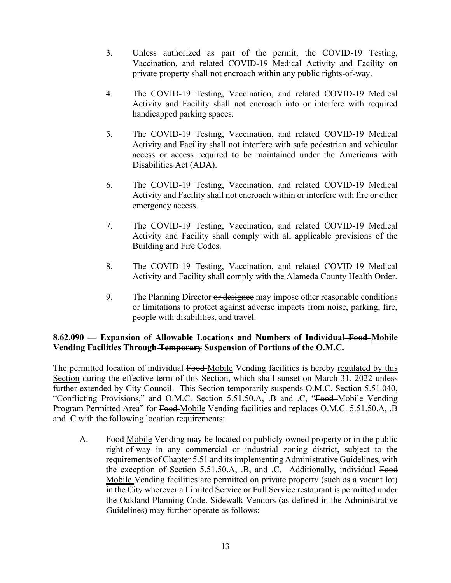- 3. Unless authorized as part of the permit, the COVID-19 Testing, Vaccination, and related COVID-19 Medical Activity and Facility on private property shall not encroach within any public rights-of-way.
- 4. The COVID-19 Testing, Vaccination, and related COVID-19 Medical Activity and Facility shall not encroach into or interfere with required handicapped parking spaces.
- 5. The COVID-19 Testing, Vaccination, and related COVID-19 Medical Activity and Facility shall not interfere with safe pedestrian and vehicular access or access required to be maintained under the Americans with Disabilities Act (ADA).
- 6. The COVID-19 Testing, Vaccination, and related COVID-19 Medical Activity and Facility shall not encroach within or interfere with fire or other emergency access.
- 7. The COVID-19 Testing, Vaccination, and related COVID-19 Medical Activity and Facility shall comply with all applicable provisions of the Building and Fire Codes.
- 8. The COVID-19 Testing, Vaccination, and related COVID-19 Medical Activity and Facility shall comply with the Alameda County Health Order.
- 9. The Planning Director or designee may impose other reasonable conditions or limitations to protect against adverse impacts from noise, parking, fire, people with disabilities, and travel.

# **8.62.090 ² Expansion of Allowable Locations and Numbers of Individual Food Mobile Vending Facilities Through Temporary Suspension of Portions of the O.M.C.**

The permitted location of individual Food Mobile Vending facilities is hereby regulated by this Section during the effective term of this Section, which shall sunset on March 31, 2022 unless further extended by City Council. This Section-temporarily suspends O.M.C. Section 5.51.040, "Conflicting Provisions," and O.M.C. Section 5.51.50.A, .B and .C, "Food-Mobile Vending Program Permitted Area" for Food Mobile Vending facilities and replaces O.M.C. 5.51.50.A, .B and .C with the following location requirements:

A. Food Mobile Vending may be located on publicly-owned property or in the public right-of-way in any commercial or industrial zoning district, subject to the requirements of Chapter 5.51 and its implementing Administrative Guidelines, with the exception of Section 5.51.50.A, .B, and .C. Additionally, individual Food Mobile Vending facilities are permitted on private property (such as a vacant lot) in the City wherever a Limited Service or Full Service restaurant is permitted under the Oakland Planning Code. Sidewalk Vendors (as defined in the Administrative Guidelines) may further operate as follows: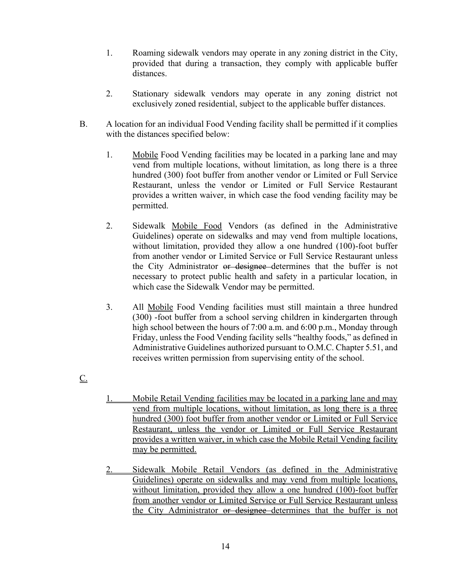- 1. Roaming sidewalk vendors may operate in any zoning district in the City, provided that during a transaction, they comply with applicable buffer distances.
- 2. Stationary sidewalk vendors may operate in any zoning district not exclusively zoned residential, subject to the applicable buffer distances.
- B. A location for an individual Food Vending facility shall be permitted if it complies with the distances specified below:
	- 1. Mobile Food Vending facilities may be located in a parking lane and may vend from multiple locations, without limitation, as long there is a three hundred (300) foot buffer from another vendor or Limited or Full Service Restaurant, unless the vendor or Limited or Full Service Restaurant provides a written waiver, in which case the food vending facility may be permitted.
	- 2. Sidewalk Mobile Food Vendors (as defined in the Administrative Guidelines) operate on sidewalks and may vend from multiple locations, without limitation, provided they allow a one hundred (100)-foot buffer from another vendor or Limited Service or Full Service Restaurant unless the City Administrator or designee determines that the buffer is not necessary to protect public health and safety in a particular location, in which case the Sidewalk Vendor may be permitted.
	- 3. All Mobile Food Vending facilities must still maintain a three hundred (300) -foot buffer from a school serving children in kindergarten through high school between the hours of 7:00 a.m. and 6:00 p.m., Monday through Friday, unless the Food Vending facility sells "healthy foods," as defined in Administrative Guidelines authorized pursuant to O.M.C. Chapter 5.51, and receives written permission from supervising entity of the school.
- $\underline{\underline{C}}$ .
- 1. Mobile Retail Vending facilities may be located in a parking lane and may vend from multiple locations, without limitation, as long there is a three hundred (300) foot buffer from another vendor or Limited or Full Service Restaurant, unless the vendor or Limited or Full Service Restaurant provides a written waiver, in which case the Mobile Retail Vending facility may be permitted.
- 2. Sidewalk Mobile Retail Vendors (as defined in the Administrative Guidelines) operate on sidewalks and may vend from multiple locations, without limitation, provided they allow a one hundred (100)-foot buffer from another vendor or Limited Service or Full Service Restaurant unless the City Administrator or designee determines that the buffer is not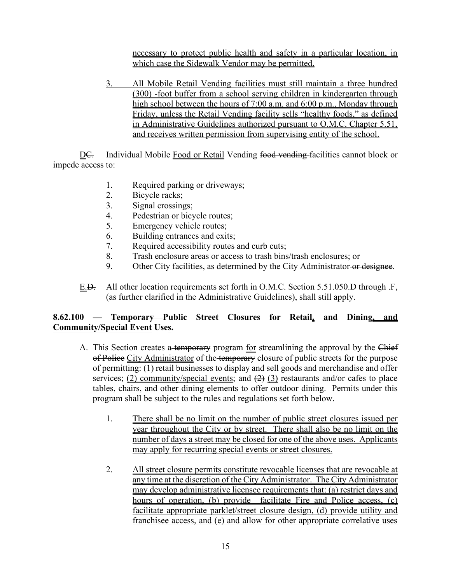necessary to protect public health and safety in a particular location, in which case the Sidewalk Vendor may be permitted.

3. All Mobile Retail Vending facilities must still maintain a three hundred (300) -foot buffer from a school serving children in kindergarten through high school between the hours of 7:00 a.m. and 6:00 p.m., Monday through Friday, unless the Retail Vending facility sells "healthy foods," as defined in Administrative Guidelines authorized pursuant to O.M.C. Chapter 5.51, and receives written permission from supervising entity of the school.

D<del>C.</del> Individual Mobile Food or Retail Vending food vending facilities cannot block or impede access to:

- 1. Required parking or driveways;
- 2. Bicycle racks;
- 3. Signal crossings;
- 4. Pedestrian or bicycle routes;
- 5. Emergency vehicle routes;
- 6. Building entrances and exits;
- 7. Required accessibility routes and curb cuts;
- 8. Trash enclosure areas or access to trash bins/trash enclosures; or
- 9. Other City facilities, as determined by the City Administrator or designee.
- E.D. All other location requirements set forth in O.M.C. Section 5.51.050.D through .F, (as further clarified in the Administrative Guidelines), shall still apply.

# **8.62.100 ² Temporary Public Street Closures for Retail, and Dining, and Community/Special Event Uses.**

- A. This Section creates a temporary program for streamlining the approval by the Chief of Police City Administrator of the temporary closure of public streets for the purpose of permitting: (1) retail businesses to display and sell goods and merchandise and offer services; (2) community/special events; and  $(2)$  (3) restaurants and/or cafes to place tables, chairs, and other dining elements to offer outdoor dining. Permits under this program shall be subject to the rules and regulations set forth below.
	- 1. There shall be no limit on the number of public street closures issued per year throughout the City or by street. There shall also be no limit on the number of days a street may be closed for one of the above uses. Applicants may apply for recurring special events or street closures.
	- 2. All street closure permits constitute revocable licenses that are revocable at any time at the discretion of the City Administrator. The City Administrator may develop administrative licensee requirements that: (a) restrict days and hours of operation, (b) provide facilitate Fire and Police access, (c) facilitate appropriate parklet/street closure design, (d) provide utility and franchisee access, and (e) and allow for other appropriate correlative uses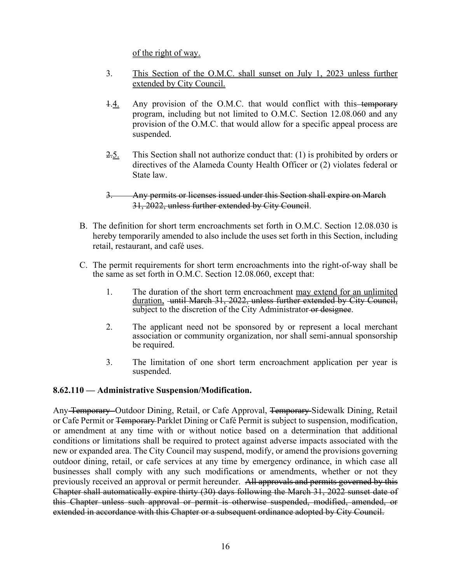of the right of way.

- 3. This Section of the O.M.C. shall sunset on July 1, 2023 unless further extended by City Council.
- 1.4. Any provision of the O.M.C. that would conflict with this-temporary program, including but not limited to O.M.C. Section 12.08.060 and any provision of the O.M.C. that would allow for a specific appeal process are suspended.
- 2.5. This Section shall not authorize conduct that: (1) is prohibited by orders or directives of the Alameda County Health Officer or (2) violates federal or State law.

# 3. Any permits or licenses issued under this Section shall expire on March 31, 2022, unless further extended by City Council.

- B. The definition for short term encroachments set forth in O.M.C. Section 12.08.030 is hereby temporarily amended to also include the uses set forth in this Section, including retail, restaurant, and café uses.
- C. The permit requirements for short term encroachments into the right-of-way shall be the same as set forth in O.M.C. Section 12.08.060, except that:
	- 1. The duration of the short term encroachment may extend for an unlimited duration, until March 31, 2022, unless further extended by City Council, subject to the discretion of the City Administrator or designee.
	- 2. The applicant need not be sponsored by or represent a local merchant association or community organization, nor shall semi-annual sponsorship be required.
	- 3. The limitation of one short term encroachment application per year is suspended.

# **8.62.110 ² Administrative Suspension/Modification.**

Any Temporary Outdoor Dining, Retail, or Cafe Approval, Temporary Sidewalk Dining, Retail or Cafe Permit or Temporary Parklet Dining or Café Permit is subject to suspension, modification, or amendment at any time with or without notice based on a determination that additional conditions or limitations shall be required to protect against adverse impacts associated with the new or expanded area. The City Council may suspend, modify, or amend the provisions governing outdoor dining, retail, or cafe services at any time by emergency ordinance, in which case all businesses shall comply with any such modifications or amendments, whether or not they previously received an approval or permit hereunder. All approvals and permits governed by this Chapter shall automatically expire thirty (30) days following the March 31, 2022 sunset date of this Chapter unless such approval or permit is otherwise suspended, modified, amended, or extended in accordance with this Chapter or a subsequent ordinance adopted by City Council.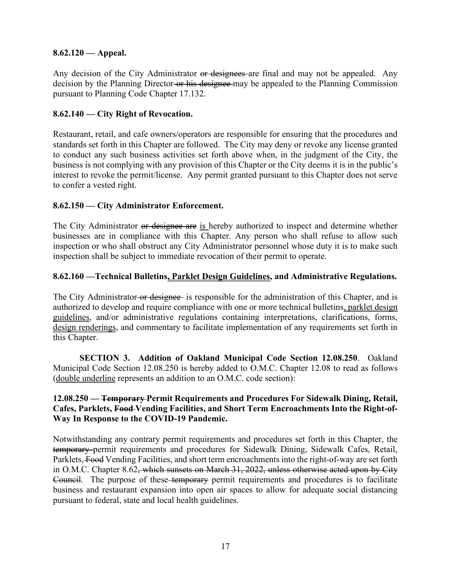# **8.62.120 ² Appeal.**

Any decision of the City Administrator or designees are final and may not be appealed. Any decision by the Planning Director-or his designee may be appealed to the Planning Commission pursuant to Planning Code Chapter 17.132.

# **8.62.140 ² City Right of Revocation.**

Restaurant, retail, and cafe owners/operators are responsible for ensuring that the procedures and standards set forth in this Chapter are followed. The City may deny or revoke any license granted to conduct any such business activities set forth above when, in the judgment of the City, the business is not complying with any provision of this Chapter or the City deems it is in the public's interest to revoke the permit/license. Any permit granted pursuant to this Chapter does not serve to confer a vested right.

# **8.62.150 ² City Administrator Enforcement.**

The City Administrator or designee are is hereby authorized to inspect and determine whether businesses are in compliance with this Chapter. Any person who shall refuse to allow such inspection or who shall obstruct any City Administrator personnel whose duty it is to make such inspection shall be subject to immediate revocation of their permit to operate.

# 8.62.160 — Technical Bulletins, Parklet Design Guidelines, and Administrative Regulations.

The City Administrator or designee is responsible for the administration of this Chapter, and is authorized to develop and require compliance with one or more technical bulletins, parklet design guidelines, and/or administrative regulations containing interpretations, clarifications, forms, design renderings, and commentary to facilitate implementation of any requirements set forth in this Chapter.

**SECTION 3. Addition of Oakland Municipal Code Section 12.08.250**. Oakland Municipal Code Section 12.08.250 is hereby added to O.M.C. Chapter 12.08 to read as follows (double underline represents an addition to an O.M.C. code section):

# **12.08.250 ² Temporary Permit Requirements and Procedures For Sidewalk Dining, Retail, Cafes, Parklets, Food Vending Facilities, and Short Term Encroachments Into the Right-of-Way In Response to the COVID-19 Pandemic.**

Notwithstanding any contrary permit requirements and procedures set forth in this Chapter, the temporary permit requirements and procedures for Sidewalk Dining, Sidewalk Cafes, Retail, Parklets, Food Vending Facilities, and short term encroachments into the right-of-way are set forth in O.M.C. Chapter 8.62, which sunsets on March 31, 2022, unless otherwise acted upon by City Council. The purpose of these temporary permit requirements and procedures is to facilitate business and restaurant expansion into open air spaces to allow for adequate social distancing pursuant to federal, state and local health guidelines.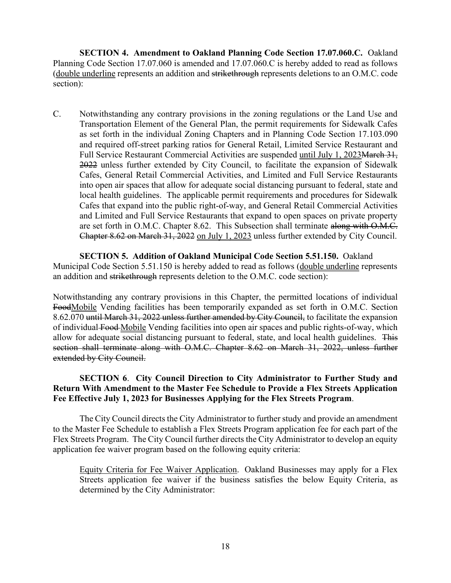**SECTION 4. Amendment to Oakland Planning Code Section 17.07.060.C.** Oakland Planning Code Section 17.07.060 is amended and 17.07.060.C is hereby added to read as follows (double underline represents an addition and strikethrough represents deletions to an O.M.C. code section):

C. Notwithstanding any contrary provisions in the zoning regulations or the Land Use and Transportation Element of the General Plan, the permit requirements for Sidewalk Cafes as set forth in the individual Zoning Chapters and in Planning Code Section 17.103.090 and required off-street parking ratios for General Retail, Limited Service Restaurant and Full Service Restaurant Commercial Activities are suspended until July 1, 2023 March 31, 2022 unless further extended by City Council, to facilitate the expansion of Sidewalk Cafes, General Retail Commercial Activities, and Limited and Full Service Restaurants into open air spaces that allow for adequate social distancing pursuant to federal, state and local health guidelines. The applicable permit requirements and procedures for Sidewalk Cafes that expand into the public right-of-way, and General Retail Commercial Activities and Limited and Full Service Restaurants that expand to open spaces on private property are set forth in O.M.C. Chapter 8.62. This Subsection shall terminate along with O.M.C. Chapter 8.62 on March 31, 2022 on July 1, 2023 unless further extended by City Council.

**SECTION 5. Addition of Oakland Municipal Code Section 5.51.150.** Oakland Municipal Code Section 5.51.150 is hereby added to read as follows (double underline represents an addition and strikethrough represents deletion to the O.M.C. code section):

Notwithstanding any contrary provisions in this Chapter, the permitted locations of individual FoodMobile Vending facilities has been temporarily expanded as set forth in O.M.C. Section 8.62.070 until March 31, 2022 unless further amended by City Council, to facilitate the expansion of individual Food Mobile Vending facilities into open air spaces and public rights-of-way, which allow for adequate social distancing pursuant to federal, state, and local health guidelines. This section shall terminate along with O.M.C. Chapter 8.62 on March 31, 2022, unless further extended by City Council.

# **SECTION 6**. **City Council Direction to City Administrator to Further Study and Return With Amendment to the Master Fee Schedule to Provide a Flex Streets Application Fee Effective July 1, 2023 for Businesses Applying for the Flex Streets Program**.

The City Council directs the City Administrator to further study and provide an amendment to the Master Fee Schedule to establish a Flex Streets Program application fee for each part of the Flex Streets Program. The City Council further directs the City Administrator to develop an equity application fee waiver program based on the following equity criteria:

Equity Criteria for Fee Waiver Application. Oakland Businesses may apply for a Flex Streets application fee waiver if the business satisfies the below Equity Criteria, as determined by the City Administrator: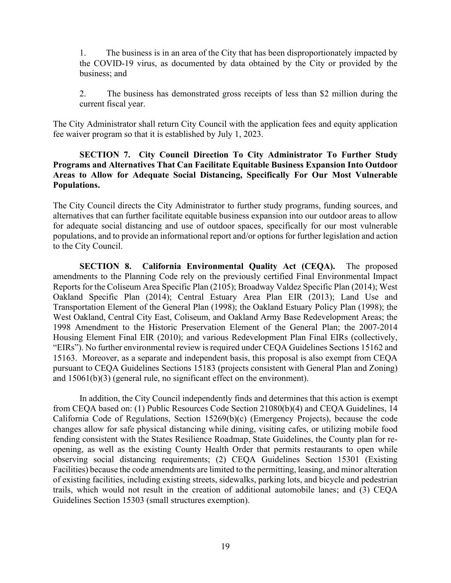1. The business is in an area of the City that has been disproportionately impacted by the COVID-19 virus, as documented by data obtained by the City or provided by the business; and

2. The business has demonstrated gross receipts of less than \$2 million during the current fiscal year.

The City Administrator shall return City Council with the application fees and equity application fee waiver program so that it is established by July 1, 2023.

# **SECTION 7. City Council Direction To City Administrator To Further Study Programs and Alternatives That Can Facilitate Equitable Business Expansion Into Outdoor Areas to Allow for Adequate Social Distancing, Specifically For Our Most Vulnerable Populations.**

The City Council directs the City Administrator to further study programs, funding sources, and alternatives that can further facilitate equitable business expansion into our outdoor areas to allow for adequate social distancing and use of outdoor spaces, specifically for our most vulnerable populations, and to provide an informational report and/or options for further legislation and action to the City Council.

**SECTION 8. California Environmental Quality Act (CEQA).** The proposed amendments to the Planning Code rely on the previously certified Final Environmental Impact Reports for the Coliseum Area Specific Plan (2105); Broadway Valdez Specific Plan (2014); West Oakland Specific Plan (2014); Central Estuary Area Plan EIR (2013); Land Use and Transportation Element of the General Plan (1998); the Oakland Estuary Policy Plan (1998); the West Oakland, Central City East, Coliseum, and Oakland Army Base Redevelopment Areas; the 1998 Amendment to the Historic Preservation Element of the General Plan; the 2007-2014 Housing Element Final EIR (2010); and various Redevelopment Plan Final EIRs (collectively, "EIRs"). No further environmental review is required under CEQA Guidelines Sections 15162 and 15163. Moreover, as a separate and independent basis, this proposal is also exempt from CEQA pursuant to CEQA Guidelines Sections 15183 (projects consistent with General Plan and Zoning) and 15061(b)(3) (general rule, no significant effect on the environment).

In addition, the City Council independently finds and determines that this action is exempt from CEQA based on: (1) Public Resources Code Section 21080(b)(4) and CEQA Guidelines, 14 California Code of Regulations, Section 15269(b)(c) (Emergency Projects), because the code changes allow for safe physical distancing while dining, visiting cafes, or utilizing mobile food fending consistent with the States Resilience Roadmap, State Guidelines, the County plan for reopening, as well as the existing County Health Order that permits restaurants to open while observing social distancing requirements; (2) CEQA Guidelines Section 15301 (Existing Facilities) because the code amendments are limited to the permitting, leasing, and minor alteration of existing facilities, including existing streets, sidewalks, parking lots, and bicycle and pedestrian trails, which would not result in the creation of additional automobile lanes; and (3) CEQA Guidelines Section 15303 (small structures exemption).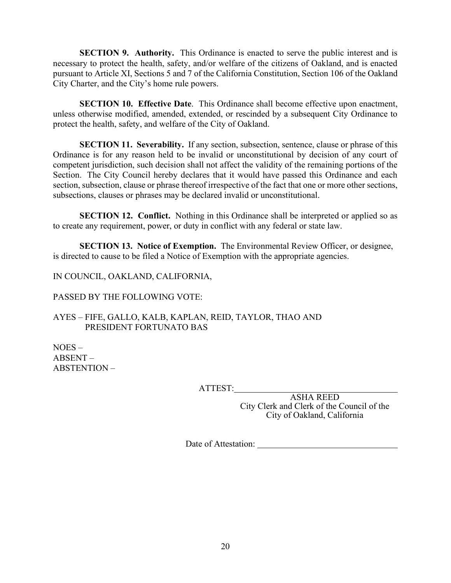**SECTION 9. Authority.** This Ordinance is enacted to serve the public interest and is necessary to protect the health, safety, and/or welfare of the citizens of Oakland, and is enacted pursuant to Article XI, Sections 5 and 7 of the California Constitution, Section 106 of the Oakland City Charter, and the City's home rule powers.

**SECTION 10. Effective Date**. This Ordinance shall become effective upon enactment, unless otherwise modified, amended, extended, or rescinded by a subsequent City Ordinance to protect the health, safety, and welfare of the City of Oakland.

**SECTION 11. Severability.** If any section, subsection, sentence, clause or phrase of this Ordinance is for any reason held to be invalid or unconstitutional by decision of any court of competent jurisdiction, such decision shall not affect the validity of the remaining portions of the Section. The City Council hereby declares that it would have passed this Ordinance and each section, subsection, clause or phrase thereof irrespective of the fact that one or more other sections, subsections, clauses or phrases may be declared invalid or unconstitutional.

**SECTION 12. Conflict.** Nothing in this Ordinance shall be interpreted or applied so as to create any requirement, power, or duty in conflict with any federal or state law.

**SECTION 13. Notice of Exemption.** The Environmental Review Officer, or designee, is directed to cause to be filed a Notice of Exemption with the appropriate agencies.

IN COUNCIL, OAKLAND, CALIFORNIA,

PASSED BY THE FOLLOWING VOTE:

AYES - FIFE, GALLO, KALB, KAPLAN, REID, TAYLOR, THAO AND PRESIDENT FORTUNATO BAS

 $NOES ABSENT -$ ABSTENTION -

ATTEST:

ASHA REED City Clerk and Clerk of the Council of the City of Oakland, California

Date of Attestation: